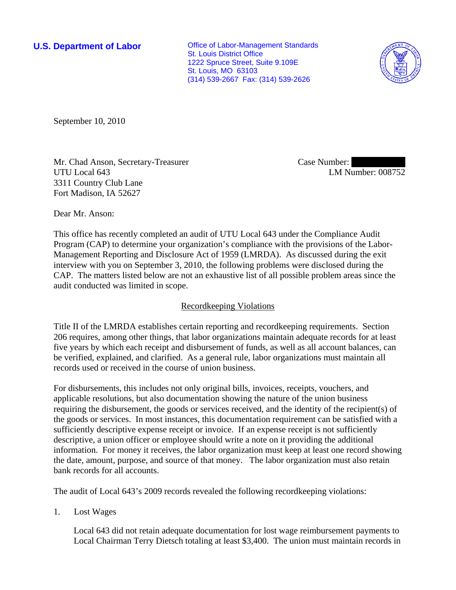**U.S. Department of Labor Conservative Conservative Conservative Conservative Conservative Conservative Conservative Conservative Conservative Conservative Conservative Conservative Conservative Conservative Conservative** St. Louis District Office 1222 Spruce Street, Suite 9.109E St. Louis, MO 63103 (314) 539-2667 Fax: (314) 539-2626



September 10, 2010

Mr. Chad Anson, Secretary-Treasurer UTU Local 643 3311 Country Club Lane Fort Madison, IA 52627

Case Number: LM Number: 008752

Dear Mr. Anson:

This office has recently completed an audit of UTU Local 643 under the Compliance Audit Program (CAP) to determine your organization's compliance with the provisions of the Labor-Management Reporting and Disclosure Act of 1959 (LMRDA). As discussed during the exit interview with you on September 3, 2010, the following problems were disclosed during the CAP. The matters listed below are not an exhaustive list of all possible problem areas since the audit conducted was limited in scope.

# Recordkeeping Violations

Title II of the LMRDA establishes certain reporting and recordkeeping requirements. Section 206 requires, among other things, that labor organizations maintain adequate records for at least five years by which each receipt and disbursement of funds, as well as all account balances, can be verified, explained, and clarified. As a general rule, labor organizations must maintain all records used or received in the course of union business.

For disbursements, this includes not only original bills, invoices, receipts, vouchers, and applicable resolutions, but also documentation showing the nature of the union business requiring the disbursement, the goods or services received, and the identity of the recipient(s) of the goods or services. In most instances, this documentation requirement can be satisfied with a sufficiently descriptive expense receipt or invoice. If an expense receipt is not sufficiently descriptive, a union officer or employee should write a note on it providing the additional information. For money it receives, the labor organization must keep at least one record showing the date, amount, purpose, and source of that money. The labor organization must also retain bank records for all accounts.

The audit of Local 643's 2009 records revealed the following recordkeeping violations:

1. Lost Wages

Local 643 did not retain adequate documentation for lost wage reimbursement payments to Local Chairman Terry Dietsch totaling at least \$3,400. The union must maintain records in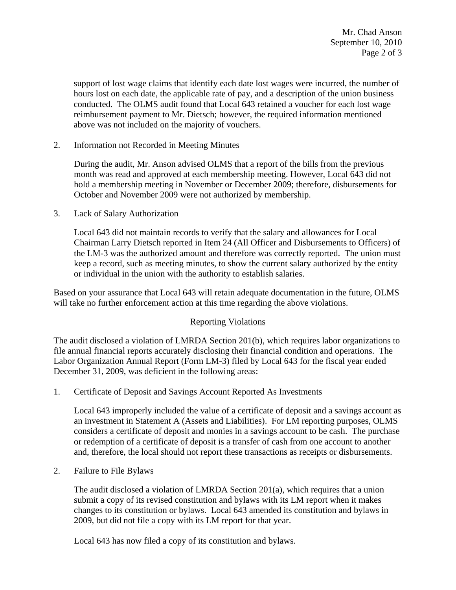support of lost wage claims that identify each date lost wages were incurred, the number of hours lost on each date, the applicable rate of pay, and a description of the union business conducted. The OLMS audit found that Local 643 retained a voucher for each lost wage reimbursement payment to Mr. Dietsch; however, the required information mentioned above was not included on the majority of vouchers.

2. Information not Recorded in Meeting Minutes

During the audit, Mr. Anson advised OLMS that a report of the bills from the previous month was read and approved at each membership meeting. However, Local 643 did not hold a membership meeting in November or December 2009; therefore, disbursements for October and November 2009 were not authorized by membership.

3. Lack of Salary Authorization

Local 643 did not maintain records to verify that the salary and allowances for Local Chairman Larry Dietsch reported in Item 24 (All Officer and Disbursements to Officers) of the LM-3 was the authorized amount and therefore was correctly reported. The union must keep a record, such as meeting minutes, to show the current salary authorized by the entity or individual in the union with the authority to establish salaries.

Based on your assurance that Local 643 will retain adequate documentation in the future, OLMS will take no further enforcement action at this time regarding the above violations.

# Reporting Violations

The audit disclosed a violation of LMRDA Section 201(b), which requires labor organizations to file annual financial reports accurately disclosing their financial condition and operations. The Labor Organization Annual Report (Form LM-3) filed by Local 643 for the fiscal year ended December 31, 2009, was deficient in the following areas:

1. Certificate of Deposit and Savings Account Reported As Investments

Local 643 improperly included the value of a certificate of deposit and a savings account as an investment in Statement A (Assets and Liabilities). For LM reporting purposes, OLMS considers a certificate of deposit and monies in a savings account to be cash. The purchase or redemption of a certificate of deposit is a transfer of cash from one account to another and, therefore, the local should not report these transactions as receipts or disbursements.

2. Failure to File Bylaws

The audit disclosed a violation of LMRDA Section  $201(a)$ , which requires that a union submit a copy of its revised constitution and bylaws with its LM report when it makes changes to its constitution or bylaws. Local 643 amended its constitution and bylaws in 2009, but did not file a copy with its LM report for that year.

Local 643 has now filed a copy of its constitution and bylaws.